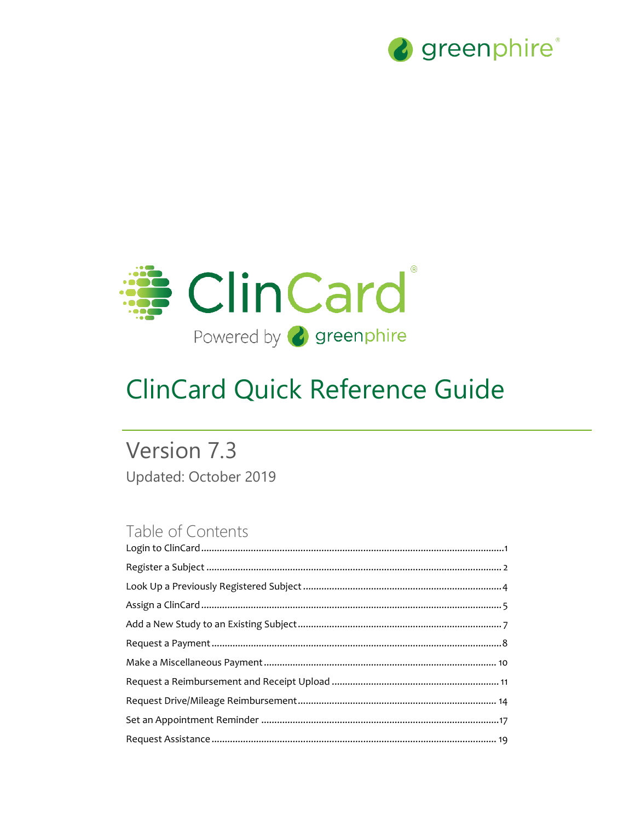



# **ClinCard Quick Reference Guide**

# Version 7.3 Updated: October 2019

# Table of Contents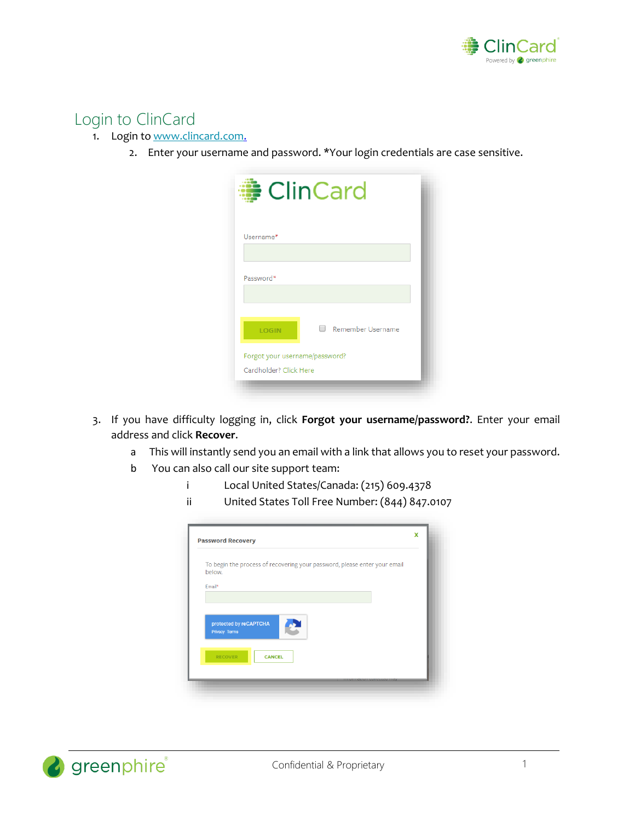

## <span id="page-1-0"></span>Login to ClinCard

- 1. Login to [www.clincard.com.](http://www.clincard.com/)
	- 2. Enter your username and password. \*Your login credentials are case sensitive.

|                                                          | <b>ClinCard</b>   |
|----------------------------------------------------------|-------------------|
| Username*                                                |                   |
| Password*                                                |                   |
| <b>LOGIN</b>                                             | Remember Username |
| Forgot your username/password?<br>Cardholder? Click Here |                   |

- 3. If you have difficulty logging i[n,](http://www.clincard.com/) click **Forgot your username/password?**. Enter your email address and click **Recover**.
	- a This will instantly send you an email with a link that allows you to reset your password.
	- b You can also call our site support team:
		- i Local United States/Canada: (215) 609.4378
		- ii United States Toll Free Number: (844) 847.0107

| below.                                  | To begin the process of recovering your password, please enter your email |  |
|-----------------------------------------|---------------------------------------------------------------------------|--|
| Email*                                  |                                                                           |  |
|                                         |                                                                           |  |
|                                         |                                                                           |  |
|                                         |                                                                           |  |
| protected by reCAPTCHA<br>Privacy Terms |                                                                           |  |
|                                         |                                                                           |  |
| <b>RECOVER</b>                          | <b>CANCEL</b>                                                             |  |

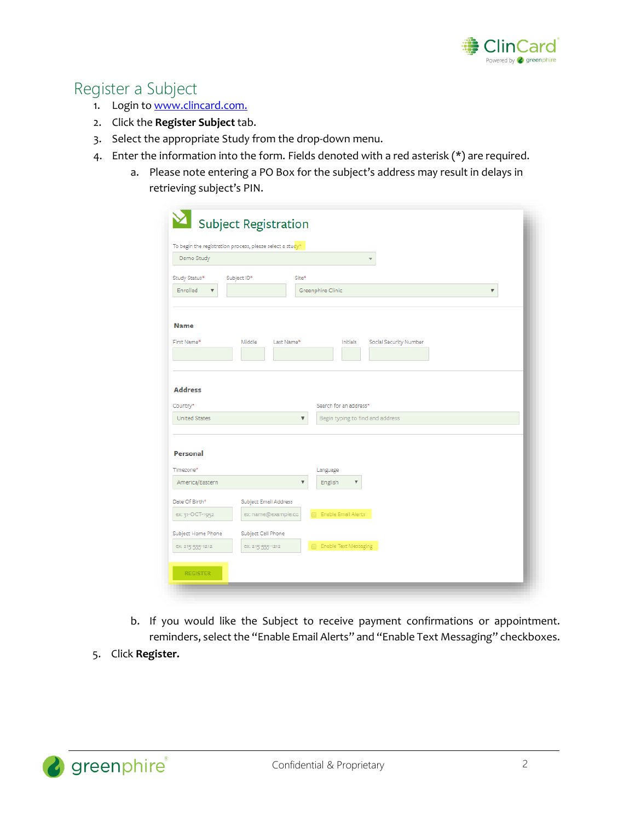

# <span id="page-2-0"></span>Register a Subject

- 1. Login t[o www.clincard.com.](http://www.clincard.com/)
- 2. Click the **Register Subject** tab.
- 3. Select the appropriate Study from the drop-down menu.
- 4. Enter the information into the form. Fields denoted with a red asterisk (\*) are required.
	- a. Please note entering a PO Box for the subject's address may result in delays in retrieving subject's PIN.

| Demo Study<br>Study Status*<br>Subject ID*<br>Site*<br>Enrolled<br>Greenphire Clinic<br>$\overline{\mathbf{v}}$<br>▼<br><b>Name</b><br>First Name*<br>Middle<br>Last Name*<br>Initials<br>Social Security Number<br><b>Address</b><br>Search for an address*<br><b>United States</b><br>Begin typing to find and address<br>$\boldsymbol{\mathrm{v}}$<br>Personal<br>Language<br>America/Eastern<br>$\overline{\mathbf{v}}$<br>English<br>▼<br>Subject Email Address<br>Enable Email Alerts<br>ex: 31-OCT-1952<br>ex: name@example.cc<br>n<br>Subject Cell Phone<br><b>Enable Text Messaging</b><br>ex: 215-555-1212<br>ex: 215-555-1212 | To begin the registration process, please select a study* |  |
|------------------------------------------------------------------------------------------------------------------------------------------------------------------------------------------------------------------------------------------------------------------------------------------------------------------------------------------------------------------------------------------------------------------------------------------------------------------------------------------------------------------------------------------------------------------------------------------------------------------------------------------|-----------------------------------------------------------|--|
|                                                                                                                                                                                                                                                                                                                                                                                                                                                                                                                                                                                                                                          |                                                           |  |
|                                                                                                                                                                                                                                                                                                                                                                                                                                                                                                                                                                                                                                          |                                                           |  |
|                                                                                                                                                                                                                                                                                                                                                                                                                                                                                                                                                                                                                                          |                                                           |  |
| Country*<br>Timezone*                                                                                                                                                                                                                                                                                                                                                                                                                                                                                                                                                                                                                    |                                                           |  |
|                                                                                                                                                                                                                                                                                                                                                                                                                                                                                                                                                                                                                                          |                                                           |  |
|                                                                                                                                                                                                                                                                                                                                                                                                                                                                                                                                                                                                                                          |                                                           |  |
| Date Of Birth*<br>Subject Home Phone                                                                                                                                                                                                                                                                                                                                                                                                                                                                                                                                                                                                     |                                                           |  |
|                                                                                                                                                                                                                                                                                                                                                                                                                                                                                                                                                                                                                                          |                                                           |  |
|                                                                                                                                                                                                                                                                                                                                                                                                                                                                                                                                                                                                                                          |                                                           |  |
|                                                                                                                                                                                                                                                                                                                                                                                                                                                                                                                                                                                                                                          |                                                           |  |
|                                                                                                                                                                                                                                                                                                                                                                                                                                                                                                                                                                                                                                          |                                                           |  |
|                                                                                                                                                                                                                                                                                                                                                                                                                                                                                                                                                                                                                                          |                                                           |  |

- b. If you would like the Subject to receive payment confirmations or appointment. reminders, select the "Enable Email Alerts" and "Enable Text Messaging" checkboxes.
- 5. Click **Register.**

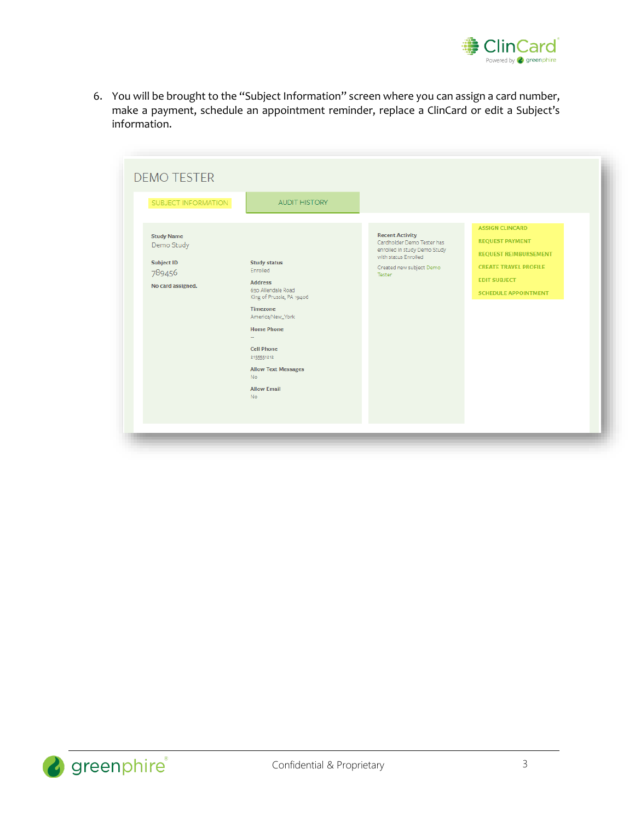

6. You will be brought to the "Subject Information" screen where you can assign a card number, make a payment, schedule an appointment reminder, replace a ClinCard or edit a Subject's information.

| SUBJECT INFORMATION                                                                 | <b>AUDIT HISTORY</b>                                                                                                                                                                                                                                                              |                                                                                                                                                    |                                                                                                                                                                        |
|-------------------------------------------------------------------------------------|-----------------------------------------------------------------------------------------------------------------------------------------------------------------------------------------------------------------------------------------------------------------------------------|----------------------------------------------------------------------------------------------------------------------------------------------------|------------------------------------------------------------------------------------------------------------------------------------------------------------------------|
| <b>Study Name</b><br>Demo Study<br><b>Subject ID</b><br>789456<br>No card assigned. | <b>Study status</b><br>Enrolled<br><b>Address</b><br>630 Allendale Road<br>King of Prussia, PA 19406<br><b>Timezone</b><br>America/New_York<br><b>Home Phone</b><br><b>Cell Phone</b><br>2155551212<br><b>Allow Text Messages</b><br><b>No</b><br><b>Allow Email</b><br><b>No</b> | <b>Recent Activity</b><br>Cardholder Demo Tester has<br>enrolled in study Demo Study<br>with status Enrolled<br>Created new subject Demo<br>Tester | <b>ASSIGN CLINCARD</b><br><b>REQUEST PAYMENT</b><br><b>REQUEST REIMBURSEMENT</b><br><b>CREATE TRAVEL PROFILE</b><br><b>EDIT SUBJECT</b><br><b>SCHEDULE APPOINTMENT</b> |

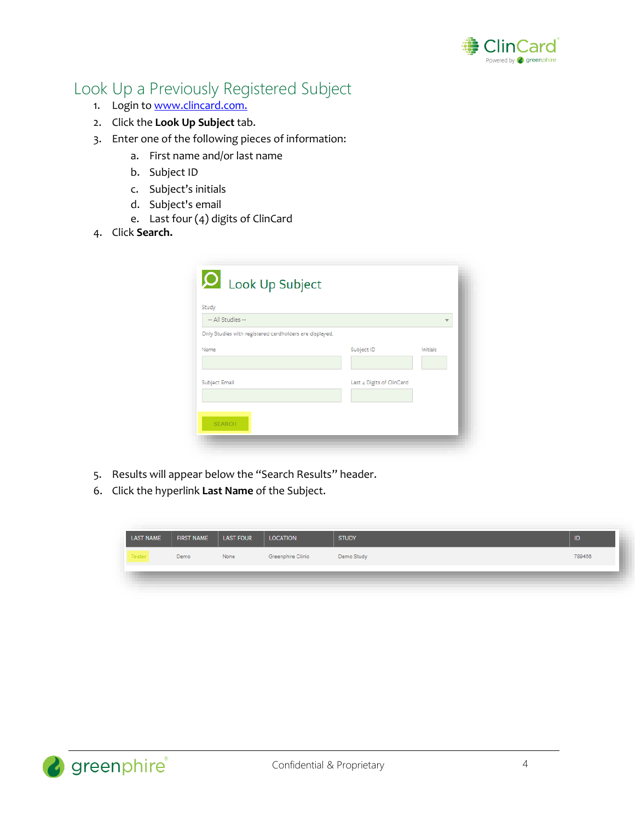

# <span id="page-4-0"></span>Look Up a Previously Registered Subject

- 1. Login t[o www.clincard.com.](http://www.clincard.com/)
- 2. Click the **Look Up Subject** tab.
- 3. Enter one of the following pieces of information:
	- a. First name and/or last name
	- b. Subject ID
	- c. Subject's initials
	- d. Subject's email
	- e. Last four (4) digits of ClinCard
- 4. Click **Search.**

| Study<br>-- All Studies --                              |                           | $\overline{\phantom{a}}$ |
|---------------------------------------------------------|---------------------------|--------------------------|
| Only Studies with registered cardholders are displayed. |                           |                          |
| Name                                                    | Subject ID                | Initials                 |
| Subject Email                                           | Last 4 Digits of ClinCard |                          |

- 5. Results will appear below the "Search Results" header.
- 6. Click the hyperlink **Last Name** of the Subject.

| <b>LAST NAME</b> | <b>FIRST NAME</b> | LAST FOUR | <b>LOCATION</b>   | <b>STUDY</b> | ID     |
|------------------|-------------------|-----------|-------------------|--------------|--------|
| <b>Tester</b>    | Demo              | None      | Greenphire Clinic | Demo Study   | 789456 |
|                  |                   |           |                   |              |        |

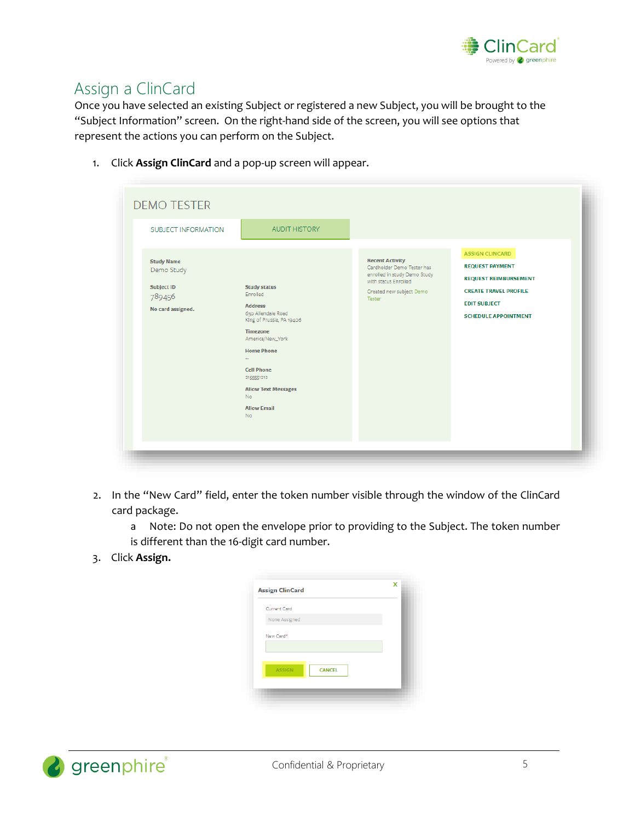

# <span id="page-5-0"></span>Assign a ClinCard

Once you have selected an existing Subject or registered a new Subject, you will be brought to the "Subject Information" screen. On the right-hand side of the screen, you will see options that represent the actions you can perform on the Subject.

1. Click **Assign ClinCard** and a pop-up screen will appear.

| SUBJECT INFORMATION                                                                 | <b>AUDIT HISTORY</b>                                                                                                                                                                                                                                                              |                                                                                                                                                    | <b>ASSIGN CLINCARD</b>                                                                                                                       |
|-------------------------------------------------------------------------------------|-----------------------------------------------------------------------------------------------------------------------------------------------------------------------------------------------------------------------------------------------------------------------------------|----------------------------------------------------------------------------------------------------------------------------------------------------|----------------------------------------------------------------------------------------------------------------------------------------------|
| <b>Study Name</b><br>Demo Study<br><b>Subject ID</b><br>789456<br>No card assigned. | <b>Study status</b><br>Enrolled<br><b>Address</b><br>630 Allendale Road<br>King of Prussia, PA 19406<br><b>Timezone</b><br>America/New_York<br><b>Home Phone</b><br><b>Cell Phone</b><br>2155551212<br><b>Allow Text Messages</b><br><b>No</b><br><b>Allow Email</b><br><b>No</b> | <b>Recent Activity</b><br>Cardholder Demo Tester has<br>enrolled in study Demo Study<br>with status Enrolled<br>Created new subject Demo<br>Tester | <b>REQUEST PAYMENT</b><br><b>REQUEST REIMBURSEMENT</b><br><b>CREATE TRAVEL PROFILE</b><br><b>EDIT SUBJECT</b><br><b>SCHEDULE APPOINTMENT</b> |

- 2. In the "New Card" field, enter the token number visible through the window of the ClinCard card package.
	- a Note: Do not open the envelope prior to providing to the Subject. The token number is different than the 16-digit card number.
- 3. Click **Assign.**

| <b>Current Card</b><br>None Assigned<br><b>ASSIGN</b><br><b>CANCEL</b> | <b>Assign ClinCard</b> |  |  |
|------------------------------------------------------------------------|------------------------|--|--|
|                                                                        |                        |  |  |
|                                                                        |                        |  |  |
|                                                                        | New Card*              |  |  |
|                                                                        |                        |  |  |

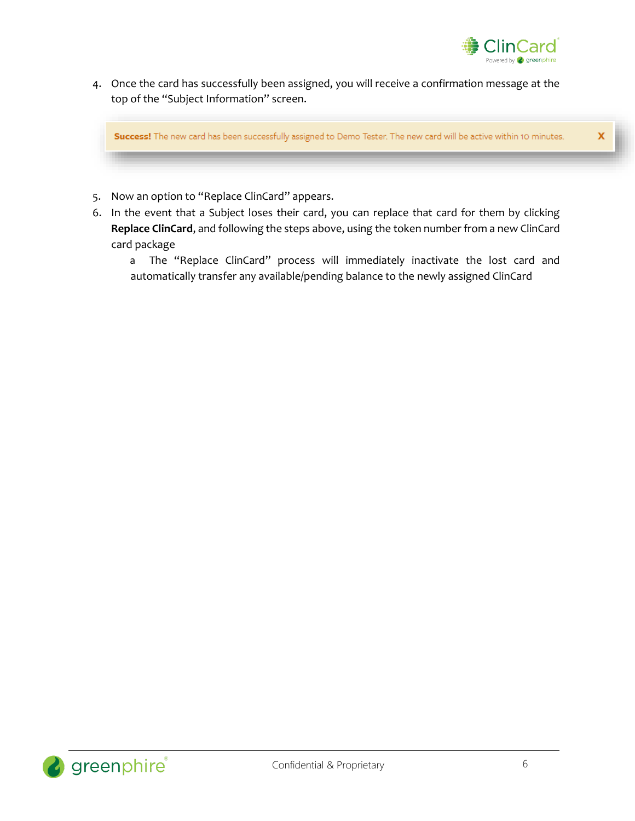

4. Once the card has successfully been assigned, you will receive a confirmation message at the top of the "Subject Information" screen.

Success! The new card has been successfully assigned to Demo Tester. The new card will be active within 10 minutes.

- 5. Now an option to "Replace ClinCard" appears.
- 6. In the event that a Subject loses their card, you can replace that card for them by clicking **Replace ClinCard**, and following the steps above, using the token number from a new ClinCard card package
	- a The "Replace ClinCard" process will immediately inactivate the lost card and automatically transfer any available/pending balance to the newly assigned ClinCard

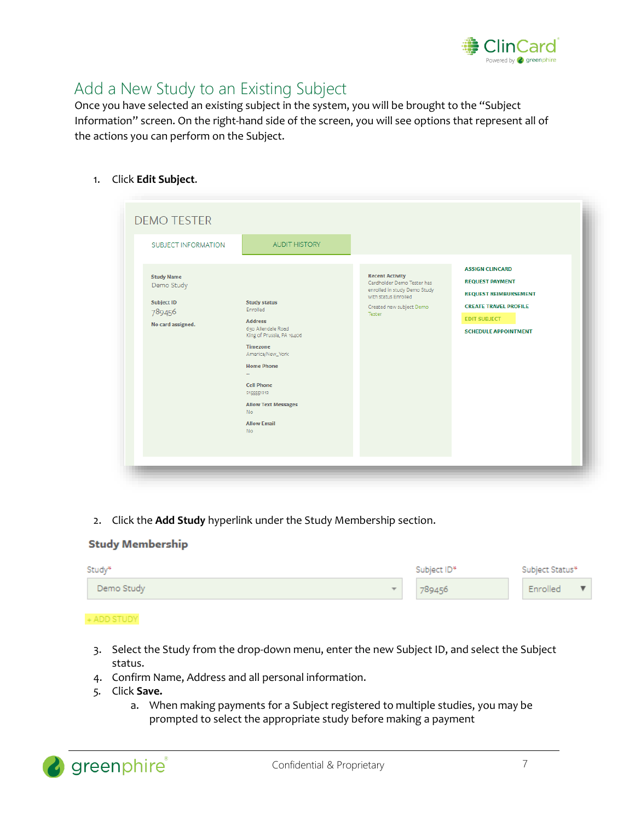

# <span id="page-7-0"></span>Add a New Study to an Existing Subject

Once you have selected an existing subject in the system, you will be brought to the "Subject Information" screen. On the right-hand side of the screen, you will see options that represent all of the actions you can perform on the Subject.

1. Click **Edit Subject**.

| SUBJECT INFORMATION<br><b>Study Name</b><br>Demo Study<br><b>Subject ID</b><br>789456 | <b>AUDIT HISTORY</b><br><b>Study status</b><br>Enrolled                                                                                                                                                                                       | <b>Recent Activity</b><br>Cardholder Demo Tester has<br>enrolled in study Demo Study<br>with status Enrolled<br>Created new subject Demo<br>Tester | <b>ASSIGN CLINCARD</b><br><b>REQUEST PAYMENT</b><br><b>REQUEST REIMBURSEMENT</b><br><b>CREATE TRAVEL PROFILE</b><br><b>EDIT SUBJECT</b> |
|---------------------------------------------------------------------------------------|-----------------------------------------------------------------------------------------------------------------------------------------------------------------------------------------------------------------------------------------------|----------------------------------------------------------------------------------------------------------------------------------------------------|-----------------------------------------------------------------------------------------------------------------------------------------|
| No card assigned.                                                                     | <b>Address</b><br>630 Allendale Road<br>King of Prussia, PA 19406<br>Timezone<br>America/New_York<br><b>Home Phone</b><br>u.<br><b>Cell Phone</b><br>2155551212<br><b>Allow Text Messages</b><br><b>No</b><br><b>Allow Email</b><br><b>No</b> |                                                                                                                                                    | <b>SCHEDULE APPOINTMENT</b>                                                                                                             |

2. Click the **Add Study** hyperlink under the Study Membership section.

#### **Study Membership**

| Study*            | Subject ID* | Subject Status* |
|-------------------|-------------|-----------------|
| Demo Study<br>$-$ | 789456      | Enrolled        |

#### + ADD STUDY

- 3. Select the Study from the drop-down menu, enter the new Subject ID, and select the Subject status.
- 4. Confirm Name, Address and all personal information.
- *5.* Click **Save.**
	- a. When making payments for a Subject registered to multiple studies, you may be prompted to select the appropriate study before making a payment

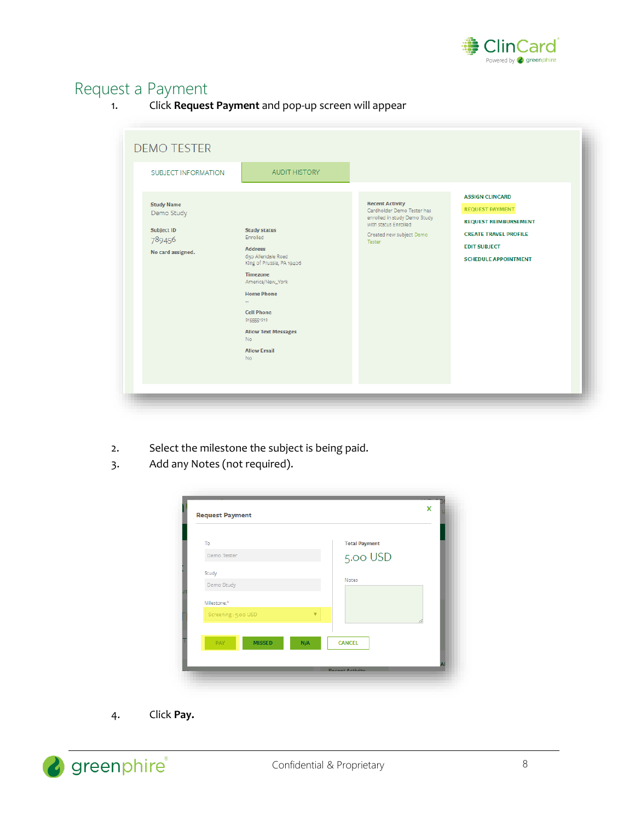

# <span id="page-8-0"></span>Request a Payment

1. Click **Request Payment** and pop-up screen will appear

| SUBJECT INFORMATION<br><b>Study Name</b><br>Demo Study | <b>AUDIT HISTORY</b>                                                                                                                                                                                                                                                       | <b>Recent Activity</b><br>Cardholder Demo Tester has<br>enrolled in study Demo Study | <b>ASSIGN CLINCARD</b><br><b>REQUEST PAYMENT</b>                                                                   |
|--------------------------------------------------------|----------------------------------------------------------------------------------------------------------------------------------------------------------------------------------------------------------------------------------------------------------------------------|--------------------------------------------------------------------------------------|--------------------------------------------------------------------------------------------------------------------|
| <b>Subject ID</b><br>789456<br>No card assigned.       | <b>Study status</b><br>Enrolled<br><b>Address</b><br>630 Allendale Road<br>King of Prussia, PA 19406<br>Timezone<br>America/New_York<br><b>Home Phone</b><br><b>Cell Phone</b><br>2155551212<br><b>Allow Text Messages</b><br><b>No</b><br><b>Allow Email</b><br><b>No</b> | with status Enrolled<br>Created new subject Demo<br>Tester                           | <b>REQUEST REIMBURSEMENT</b><br><b>CREATE TRAVEL PROFILE</b><br><b>EDIT SUBJECT</b><br><b>SCHEDULE APPOINTMENT</b> |

- 2. Select the milestone the subject is being paid.
- 3. Add any Notes (not required).

| To                          |     | <b>Total Payment</b> |  |
|-----------------------------|-----|----------------------|--|
| Demo Tester                 |     | 5.00 USD             |  |
| Study                       |     |                      |  |
| Demo Study                  |     | Notes                |  |
| Milestone: <sup>*</sup>     |     |                      |  |
| Screening: 5.00 USD         | v   |                      |  |
|                             |     |                      |  |
| <b>PAY</b><br><b>MISSED</b> | N/A | <b>CANCEL</b>        |  |

4. Click **Pay.**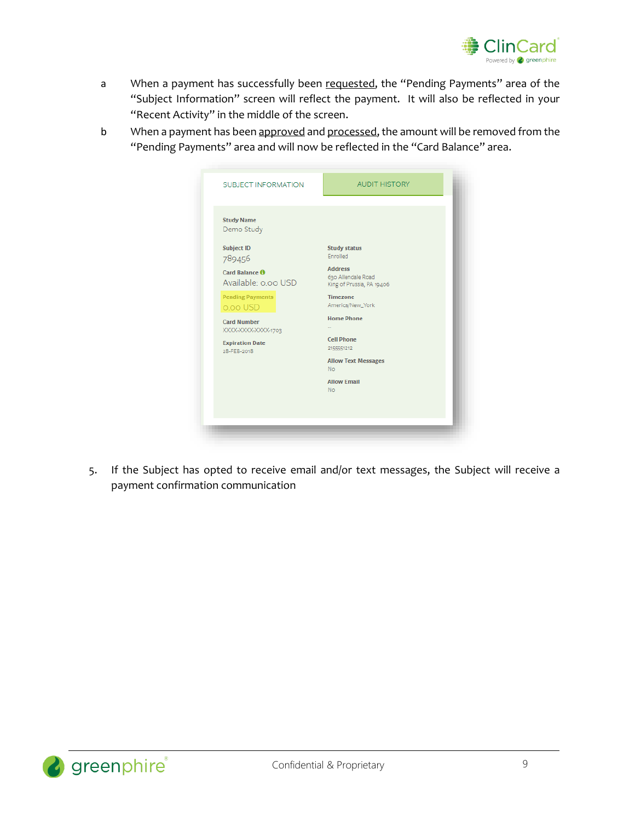

- a When a payment has successfully been requested, the "Pending Payments" area of the "Subject Information" screen will reflect the payment. It will also be reflected in your "Recent Activity" in the middle of the screen.
- b When a payment has been approved and processed, the amount will be removed from the "Pending Payments" area and will now be reflected in the "Card Balance" area.

| SUBJECT INFORMATION                                                                | <b>AUDIT HISTORY</b>                                                                                 |
|------------------------------------------------------------------------------------|------------------------------------------------------------------------------------------------------|
| <b>Study Name</b><br>Demo Study                                                    |                                                                                                      |
| <b>Subject ID</b><br>789456<br>Card Balance <b>O</b><br>Available: 0.00 USD        | <b>Study status</b><br>Enrolled<br><b>Address</b><br>630 Allendale Road<br>King of Prussia, PA 19406 |
| <b>Pending Payments</b><br>o.oo USD                                                | <b>Timezone</b><br>America/New_York                                                                  |
| <b>Card Number</b><br>XXXX-XXXX-XXXX-1703<br><b>Expiration Date</b><br>28-FEB-2018 | <b>Home Phone</b><br><b>Cell Phone</b><br>2155551212                                                 |
|                                                                                    | <b>Allow Text Messages</b><br><b>No</b>                                                              |
|                                                                                    | <b>Allow Email</b><br><b>No</b>                                                                      |

5. If the Subject has opted to receive email and/or text messages, the Subject will receive a payment confirmation communication

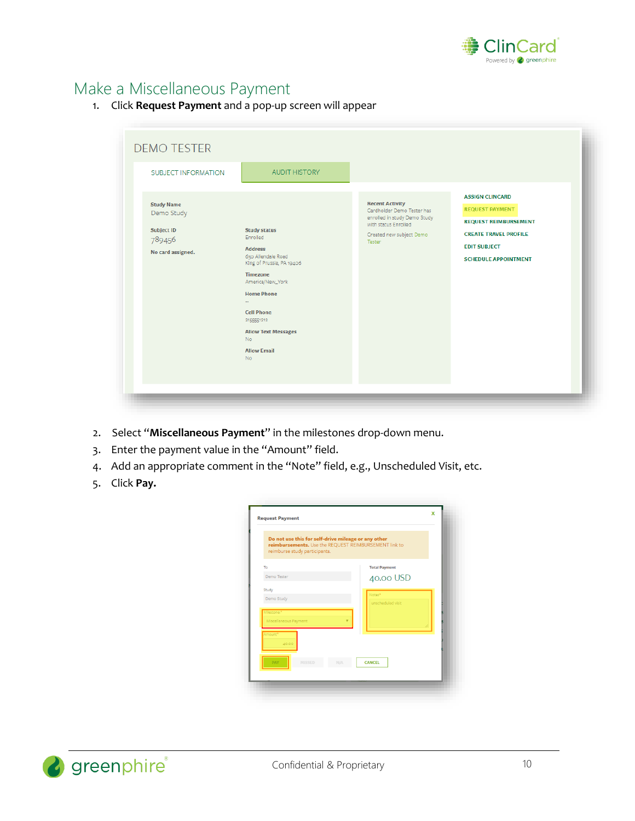

# <span id="page-10-0"></span>Make a Miscellaneous Payment

1. Click **Request Payment** and a pop-up screen will appear

| <b>SUBJECT INFORMATION</b><br><b>Study Name</b><br>Demo Study<br><b>Subject ID</b><br>789456<br>No card assigned. | <b>AUDIT HISTORY</b><br><b>Study status</b><br>Enrolled<br><b>Address</b><br>630 Allendale Road<br>King of Prussia, PA 19406<br>Timezone<br>America/New_York<br><b>Home Phone</b> | <b>Recent Activity</b><br>Cardholder Demo Tester has<br>enrolled in study Demo Study<br>with status Enrolled<br>Created new subject Demo<br>Tester | <b>ASSIGN CLINCARD</b><br><b>REQUEST PAYMENT</b><br><b>REQUEST REIMBURSEMENT</b><br><b>CREATE TRAVEL PROFILE</b><br><b>EDIT SUBJECT</b><br><b>SCHEDULE APPOINTMENT</b> |
|-------------------------------------------------------------------------------------------------------------------|-----------------------------------------------------------------------------------------------------------------------------------------------------------------------------------|----------------------------------------------------------------------------------------------------------------------------------------------------|------------------------------------------------------------------------------------------------------------------------------------------------------------------------|
|                                                                                                                   | <b>Cell Phone</b><br>2155551212<br><b>Allow Text Messages</b><br><b>No</b><br><b>Allow Email</b><br><b>No</b>                                                                     |                                                                                                                                                    |                                                                                                                                                                        |

- 2. Select "**Miscellaneous Payment**" in the milestones drop-down menu.
- 3. Enter the payment value in the "Amount" field.
- 4. Add an appropriate comment in the "Note" field, e.g., Unscheduled Visit, etc.
- 5. Click **Pay.**

| reimburse study participants. | Do not use this for self-drive mileage or any other<br>reimbursements. Use the REQUEST REIMBURSEMENT link to |
|-------------------------------|--------------------------------------------------------------------------------------------------------------|
| To                            | <b>Total Payment</b>                                                                                         |
| Demo Tester                   | 40.00 USD                                                                                                    |
| Study                         | Notes <sup>4</sup>                                                                                           |
| Demo Study                    | unscheduled visit                                                                                            |
| Milestone: <sup>8</sup>       |                                                                                                              |
| Miscellaneous Payment         |                                                                                                              |
| Amount <sup>®</sup><br>40.00  |                                                                                                              |
| <b>PAY</b><br>MISSED          | <b>CANCEL</b><br>N/A                                                                                         |

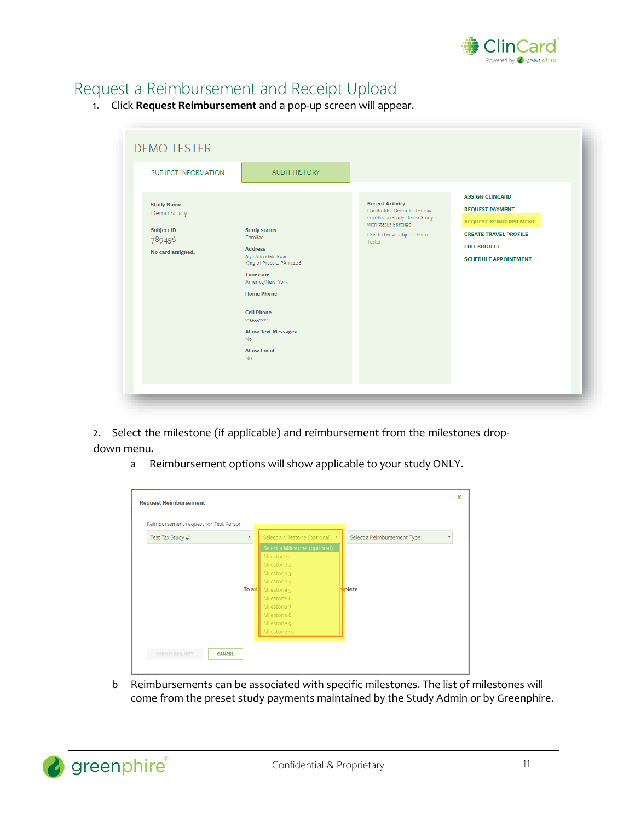

## <span id="page-11-0"></span>Request a Reimbursement and Receipt Upload

1. Click **Request Reimbursement** and a pop-up screen will appear.

| SUBJECT INFORMATION<br><b>Study Name</b><br>Demo Study<br><b>Subject ID</b><br>789456<br>No card assigned. | <b>AUDIT HISTORY</b><br><b>Study status</b><br>Enrolled<br><b>Address</b><br>630 Allendale Road<br>King of Prussia, PA 19406<br><b>Timezone</b><br>America/New_York<br><b>Home Phone</b><br><b>Cell Phone</b><br>2155551212 | <b>Recent Activity</b><br>Cardholder Demo Tester has<br>enrolled in study Demo Study<br>with status Enrolled<br>Created new subject Demo<br>Tester | <b>ASSIGN CLINCARD</b><br><b>REQUEST PAYMENT</b><br><b>REQUEST REIMBURSEMENT</b><br><b>CREATE TRAVEL PROFILE</b><br><b>EDIT SUBJECT</b><br><b>SCHEDULE APPOINTMENT</b> |
|------------------------------------------------------------------------------------------------------------|-----------------------------------------------------------------------------------------------------------------------------------------------------------------------------------------------------------------------------|----------------------------------------------------------------------------------------------------------------------------------------------------|------------------------------------------------------------------------------------------------------------------------------------------------------------------------|
|                                                                                                            | <b>Allow Text Messages</b><br><b>No</b><br><b>Allow Email</b><br><b>No</b>                                                                                                                                                  |                                                                                                                                                    |                                                                                                                                                                        |

2. Select the milestone (if applicable) and reimbursement from the milestones dropdown menu.

a Reimbursement options will show applicable to your study ONLY.

| $\overline{\mathbf{v}}$ | Select a Milestone (optional) v       | Select a Reimbursement Type                          |  |
|-------------------------|---------------------------------------|------------------------------------------------------|--|
|                         | Select a Milestone (optional)         |                                                      |  |
|                         | Milestone 1                           |                                                      |  |
|                         | Milestone 2                           |                                                      |  |
|                         | Milestone 3                           |                                                      |  |
|                         | Milestone 4                           |                                                      |  |
|                         | Milestone <sub>5</sub>                | plete                                                |  |
|                         | Milestone 6                           |                                                      |  |
|                         | Milestone 7                           |                                                      |  |
|                         |                                       |                                                      |  |
|                         |                                       |                                                      |  |
|                         |                                       |                                                      |  |
|                         |                                       |                                                      |  |
|                         | Reimbursement request for Test Person | To add<br>Milestone 8<br>Milestone 9<br>Milestone 10 |  |

b Reimbursements can be associated with specific milestones. The list of milestones will come from the preset study payments maintained by the Study Admin or by Greenphire.

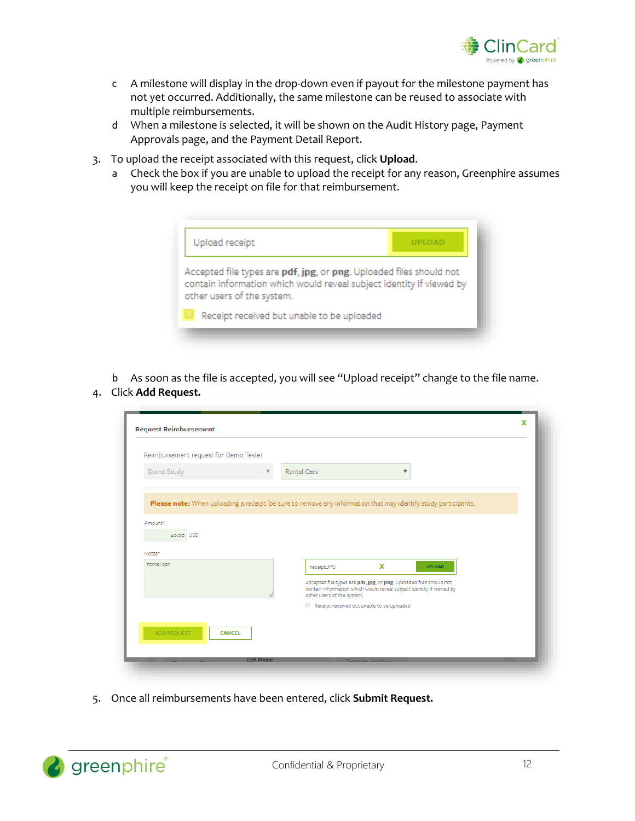

- c A milestone will display in the drop-down even if payout for the milestone payment has not yet occurred. Additionally, the same milestone can be reused to associate with multiple reimbursements.
- d When a milestone is selected, it will be shown on the Audit History page, Payment Approvals page, and the Payment Detail Report.
- 3. To upload the receipt associated with this request, click **Upload**.
	- a Check the box if you are unable to upload the receipt for any reason, Greenphire assumes you will keep the receipt on file for that reimbursement.



b As soon as the file is accepted, you will see "Upload receipt" change to the file name. 4. Click **Add Request.**

| Reimbursement request for Demo Tester |                                                                                                                                                                                                                |  |
|---------------------------------------|----------------------------------------------------------------------------------------------------------------------------------------------------------------------------------------------------------------|--|
| Demo Study                            | <b>Rental Cars</b><br>$\boldsymbol{\mathrm{v}}$                                                                                                                                                                |  |
| Amount*<br>40.00 USD<br>Notes*        |                                                                                                                                                                                                                |  |
| rental car                            | x<br>receipt.JPG<br><b>UPLOAD</b><br>Accepted file types are pdf, jpg, or png. Uploaded files should not<br>contain information which would reveal subject identity if viewed by<br>other users of the system. |  |
|                                       | Receipt received but unable to be uploaded                                                                                                                                                                     |  |

5. Once all reimbursements have been entered, click **Submit Request.**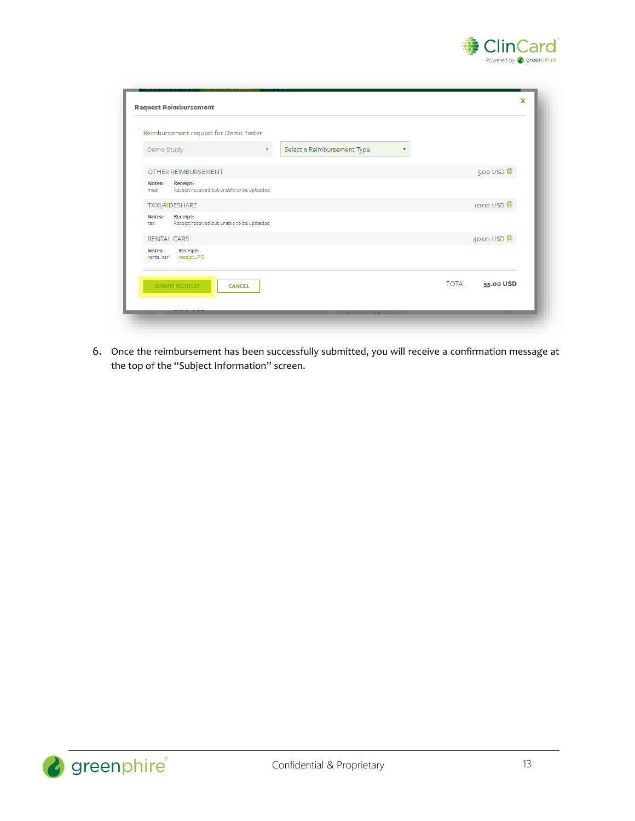

|                      | Reimbursement request for Demo Tester                         |                                                        |
|----------------------|---------------------------------------------------------------|--------------------------------------------------------|
| Demo Study           | $\mathbb {V}$                                                 | Select a Reimbursement Type<br>$\overline{\mathbf{v}}$ |
|                      | OTHER REIMBURSEMENT                                           | 5.00 USD 自                                             |
| Notes:<br>meal       | <b>Receipt:</b><br>Receipt received but unable to be uploaded |                                                        |
|                      | TAXI/RIDESHARE                                                | 10.00 USD <sup>ff</sup>                                |
| Notes:<br>taxi       | <b>Receipt:</b><br>Receipt received but unable to be uploaded |                                                        |
|                      | <b>RENTAL CARS</b>                                            | 40.00 USD <sup>m</sup>                                 |
| Notes:<br>rental car | <b>Receipt:</b><br>receipt.JPG                                |                                                        |
|                      | <b>SUBMIT REQUEST</b><br><b>CANCEL</b>                        | <b>TOTAL</b><br>55.00 USD                              |

6. Once the reimbursement has been successfully submitted, you will receive a confirmation message at the top of the "Subject Information" screen.

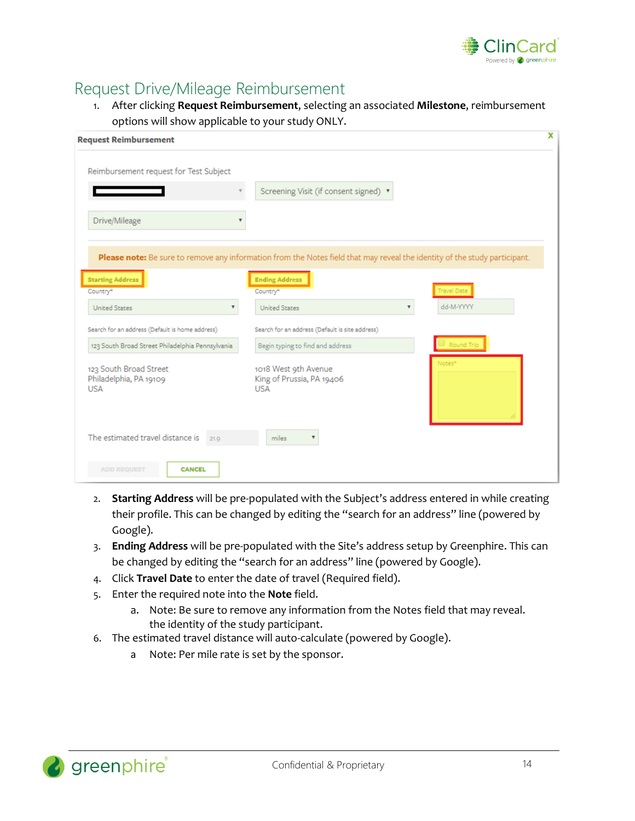

# <span id="page-14-0"></span>Request Drive/Mileage Reimbursement

1. After clicking **Request Reimbursement**, selecting an associated **Milestone**, reimbursement options will show applicable to your study ONLY.

| <b>Request Reimbursement</b>                                   | x                                                                                                                          |
|----------------------------------------------------------------|----------------------------------------------------------------------------------------------------------------------------|
| Reimbursement request for Test Subject                         |                                                                                                                            |
|                                                                | Screening Visit (if consent signed) ▼                                                                                      |
| Drive/Mileage                                                  |                                                                                                                            |
|                                                                | Please note: Be sure to remove any information from the Notes field that may reveal the identity of the study participant. |
| <b>Starting Address</b><br>Country*                            | <b>Ending Address</b><br><b>Travel Date</b><br>Country*                                                                    |
| <b>United States</b>                                           | dd-M-YYYY<br><b>United States</b>                                                                                          |
| Search for an address (Default is home address)                | Search for an address (Default is site address)                                                                            |
| 123 South Broad Street Philadelphia Pennsylvania               | Round Trip<br>Begin typing to find and address                                                                             |
| 123 South Broad Street<br>Philadelphia, PA 19109<br><b>USA</b> | Notes <sup>*</sup><br>1018 West 9th Avenue<br>King of Prussia, PA 19406<br><b>USA</b>                                      |
| The estimated travel distance is<br>21.9                       | miles<br>$\overline{\mathbf{v}}$                                                                                           |
| <b>ADD REQUEST</b><br><b>CANCEL</b>                            |                                                                                                                            |

- 2. **Starting Address** will be pre-populated with the Subject's address entered in while creating their profile. This can be changed by editing the "search for an address" line (powered by Google).
- 3. **Ending Address** will be pre-populated with the Site's address setup by Greenphire. This can be changed by editing the "search for an address" line (powered by Google).
- 4. Click **Travel Date** to enter the date of travel (Required field).
- 5. Enter the required note into the **Note** field.
	- a. Note: Be sure to remove any information from the Notes field that may reveal. the identity of the study participant.
- 6. The estimated travel distance will auto-calculate (powered by Google).
	- a Note: Per mile rate is set by the sponsor.

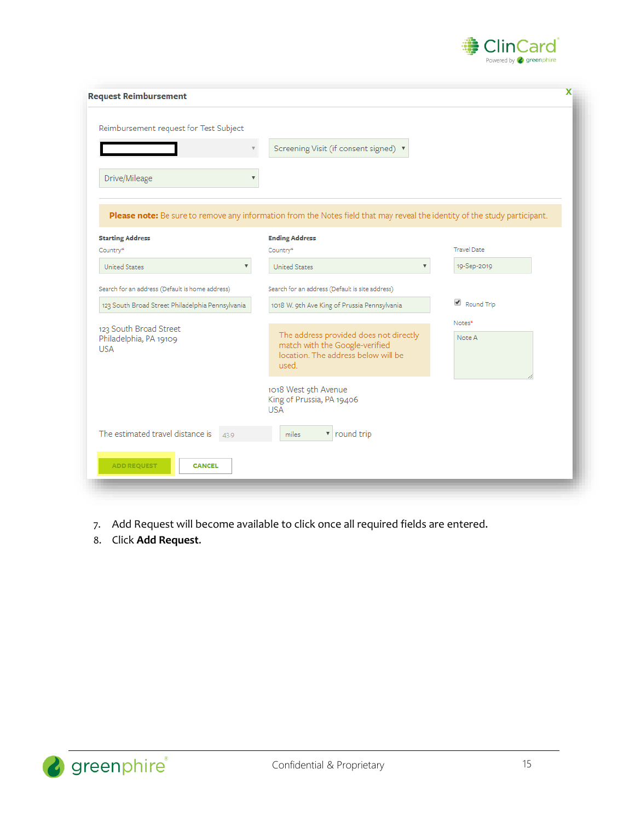

| Screening Visit (if consent signed) ▼                                                                                      |                                                             |
|----------------------------------------------------------------------------------------------------------------------------|-------------------------------------------------------------|
|                                                                                                                            |                                                             |
| Please note: Be sure to remove any information from the Notes field that may reveal the identity of the study participant. |                                                             |
| <b>Ending Address</b>                                                                                                      |                                                             |
|                                                                                                                            | <b>Travel Date</b><br>19-Sep-2019                           |
| Search for an address (Default is site address)<br>1018 W. 9th Ave King of Prussia Pennsylvania                            | Round Trip                                                  |
| The address provided does not directly<br>match with the Google-verified<br>location. The address below will be<br>used.   | Notes*<br>Note A                                            |
| 1018 West 9th Avenue<br>King of Prussia, PA 19406<br><b>USA</b>                                                            |                                                             |
|                                                                                                                            |                                                             |
|                                                                                                                            | Country*<br><b>United States</b><br>$\overline{\mathbf{v}}$ |

- 7. Add Request will become available to click once all required fields are entered.
- 8. Click **Add Request**.

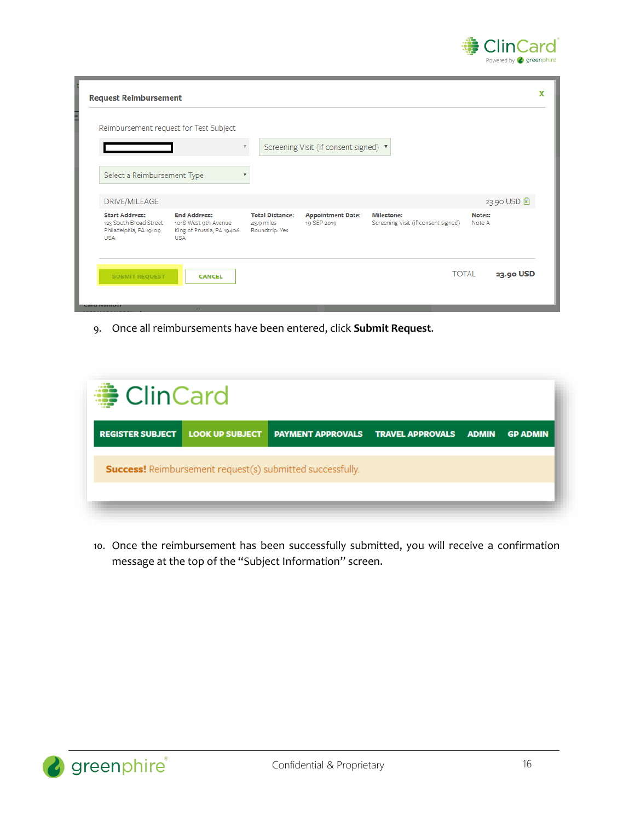

| <b>Request Reimbursement</b>                                                            |                                                                                        |                                                        |                                         |                                                          |                           | X |
|-----------------------------------------------------------------------------------------|----------------------------------------------------------------------------------------|--------------------------------------------------------|-----------------------------------------|----------------------------------------------------------|---------------------------|---|
| Reimbursement request for Test Subject                                                  |                                                                                        |                                                        |                                         |                                                          |                           |   |
|                                                                                         |                                                                                        |                                                        | Screening Visit (if consent signed) ▼   |                                                          |                           |   |
| Select a Reimbursement Type                                                             |                                                                                        | v                                                      |                                         |                                                          |                           |   |
| DRIVE/MILEAGE                                                                           |                                                                                        |                                                        |                                         |                                                          | 23.90 USD 向               |   |
| <b>Start Address:</b><br>123 South Broad Street<br>Philadelphia, PA 19109<br><b>USA</b> | <b>End Address:</b><br>1018 West 9th Avenue<br>King of Prussia, PA 19406<br><b>USA</b> | <b>Total Distance:</b><br>43.9 miles<br>Roundtrip: Yes | <b>Appointment Date:</b><br>19-SEP-2019 | <b>Milestone:</b><br>Screening Visit (if consent signed) | Notes:<br>Note A          |   |
| <b>SUBMIT REQUEST</b>                                                                   | <b>CANCEL</b>                                                                          |                                                        |                                         |                                                          | <b>TOTAL</b><br>23.90 USD |   |

9. Once all reimbursements have been entered, click **Submit Request**.

10. Once the reimbursement has been successfully submitted, you will receive a confirmation message at the top of the "Subject Information" screen.

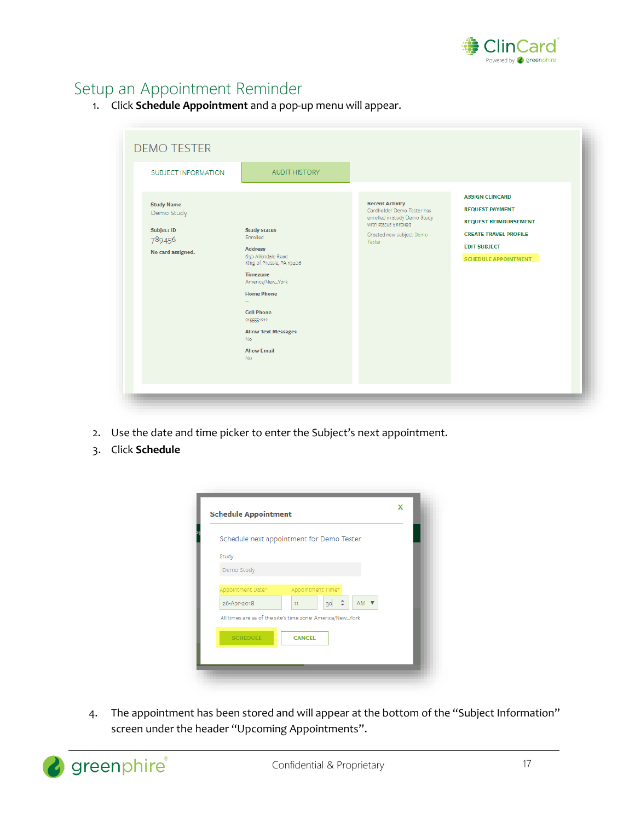

# Setup an Appointment Reminder

1. Click **Schedule Appointment** and a pop-up menu will appear.

| <b>SUBJECT INFORMATION</b>                                                          | <b>AUDIT HISTORY</b>                                                                                                                                                                                                                                                       |                                                                                                                                                    | <b>ASSIGN CLINCARD</b>                                                                                                                       |
|-------------------------------------------------------------------------------------|----------------------------------------------------------------------------------------------------------------------------------------------------------------------------------------------------------------------------------------------------------------------------|----------------------------------------------------------------------------------------------------------------------------------------------------|----------------------------------------------------------------------------------------------------------------------------------------------|
| <b>Study Name</b><br>Demo Study<br><b>Subject ID</b><br>789456<br>No card assigned. | <b>Study status</b><br>Enrolled<br><b>Address</b><br>630 Allendale Road<br>King of Prussia, PA 19406<br>Timezone<br>America/New_York<br><b>Home Phone</b><br><b>Cell Phone</b><br>2155551212<br><b>Allow Text Messages</b><br><b>No</b><br><b>Allow Email</b><br><b>No</b> | <b>Recent Activity</b><br>Cardholder Demo Tester has<br>enrolled in study Demo Study<br>with status Enrolled<br>Created new subject Demo<br>Tester | <b>REQUEST PAYMENT</b><br><b>REQUEST REIMBURSEMENT</b><br><b>CREATE TRAVEL PROFILE</b><br><b>EDIT SUBJECT</b><br><b>SCHEDULE APPOINTMENT</b> |

- 2. Use the date and time picker to enter the Subject's next appointment.
- 3. Click **Schedule**

|                                  | Schedule next appointment for Demo Tester                  |  |
|----------------------------------|------------------------------------------------------------|--|
| Study                            |                                                            |  |
| Demo Study                       |                                                            |  |
| Appointment Date*<br>26-Apr-2018 | Appointment Time*<br>ţ,<br>AM ▼<br>39<br>11                |  |
|                                  | All times are as of the site's time zone: America/New_York |  |
| <b>SCHEDULE</b>                  | <b>CANCEL</b>                                              |  |

4. The appointment has been stored and will appear at the bottom of the "Subject Information" screen under the header "Upcoming Appointments".

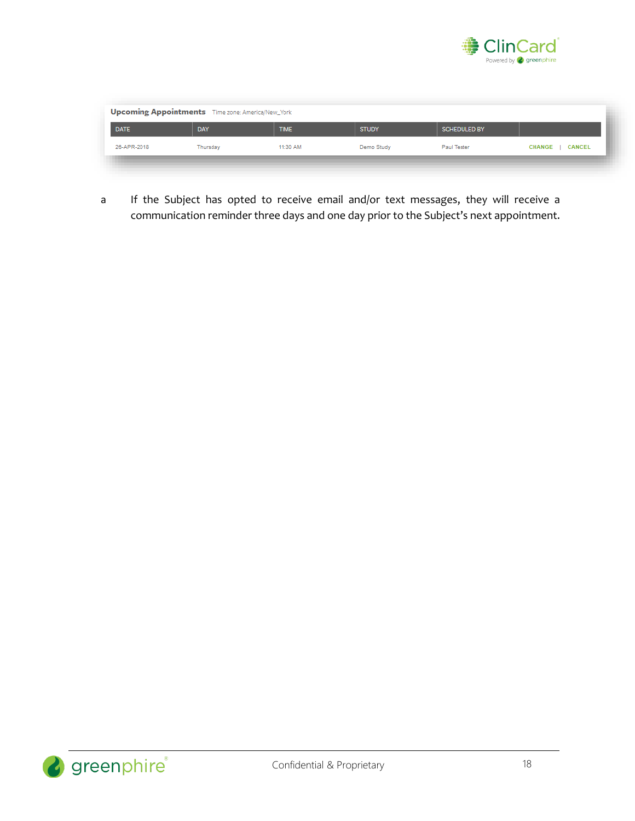

| <b>DATE</b> | DAY      | <b>TIME</b> | <b>STUDY</b> | <b>SCHEDULED BY</b> |                 |
|-------------|----------|-------------|--------------|---------------------|-----------------|
| 26-APR-2018 | Thursday | 11:30 AM    | Demo Study   | Paul Tester         | CHANGE   CANCEL |

a If the Subject has opted to receive email and/or text messages, they will receive a communication reminder three days and one day prior to the Subject's next appointment.